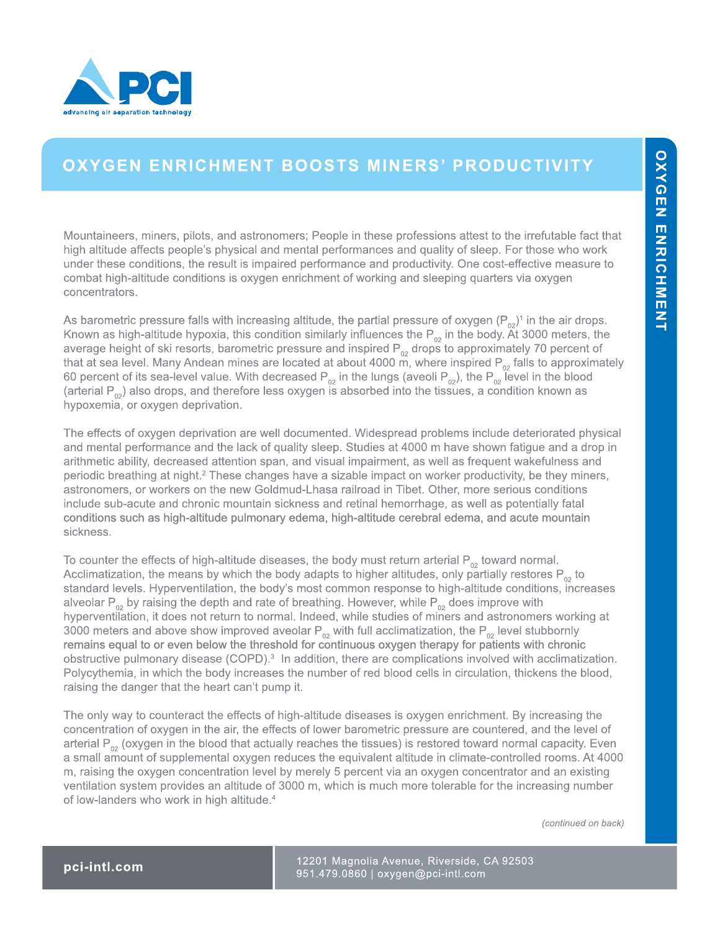

## **OXYGEN ENRICHMENT BOOSTS MINERS' PRODUCTIVITY**

Mountaineers, miners, pilots, and astronomers; People in these professions attest to the irrefutable fact that high altitude affects people's physical and mental performances and quality of sleep. For those who work under these conditions, the result is impaired performance and productivity. One cost-effective measure to combat high-altitude conditions is oxygen enrichment of working and sleeping quarters via oxygen concentrators.

As barometric pressure falls with increasing altitude, the partial pressure of oxygen  $(P_{02})^1$  in the air drops. Known as high-altitude hypoxia, this condition similarly influences the  $P_{02}$  in the body. At 3000 meters, the average height of ski resorts, barometric pressure and inspired  $P_{02}$  drops to approximately 70 percent of that at sea level. Many Andean mines are located at about 4000 m, where inspired  $P_{02}$  falls to approximately 60 percent of its sea-level value. With decreased  $P_{02}$  in the lungs (aveoli  $P_{02}$ ), the  $P_{02}$  level in the blood (arterial  $P_{02}$ ) also drops, and therefore less oxygen is absorbed into the tissues, a condition known as hypoxemia, or oxygen deprivation.

The effects of oxygen deprivation are well documented. Widespread problems include deteriorated physical and mental performance and the lack of quality sleep. Studies at 4000 m have shown fatigue and a drop in arithmetic ability, decreased attention span, and visual impairment, as well as frequent wakefulness and periodic breathing at night.<sup>2</sup> These changes have a sizable impact on worker productivity, be they miners, astronomers, or workers on the new Goldmud-Lhasa railroad in Tibet. Other, more serious conditions include sub-acute and chronic mountain sickness and retinal hemorrhage, as well as potentially fatal conditions such as high-altitude pulmonary edema, high-altitude cerebral edema, and acute mountain sickness.

To counter the effects of high-altitude diseases, the body must return arterial  $P_{02}$  toward normal. Acclimatization, the means by which the body adapts to higher altitudes, only partially restores  $P_{02}$  to standard levels. Hyperventilation, the body's most common response to high-altitude conditions, increases alveolar P<sub>02</sub> by raising the depth and rate of breathing. However, while P<sub>02</sub> does improve with hyperventilation, it does not return to normal. Indeed, while studies of miners and astronomers working at 3000 meters and above show improved aveolar  $P_{02}$  with full acclimatization, the  $P_{02}$  level stubbornly remains equal to or even below the threshold for continuous oxygen therapy for patients with chronic obstructive pulmonary disease (COPD).<sup>3</sup> In addition, there are complications involved with acclimatization. Polycythemia, in which the body increases the number of red blood cells in circulation, thickens the blood, raising the danger that the heart can't pump it.

The only way to counteract the effects of high-altitude diseases is oxygen enrichment. By increasing the concentration of oxygen in the air, the effects of lower barometric pressure are countered, and the level of arterial  $P_{02}$  (oxygen in the blood that actually reaches the tissues) is restored toward normal capacity. Even a small amount of supplemental oxygen reduces the equivalent altitude in climate-controlled rooms. At 4000 m, raising the oxygen concentration level by merely 5 percent via an oxygen concentrator and an existing ventilation system provides an altitude of 3000 m, which is much more tolerable for the increasing number of low-landers who work in high altitude.<sup>4</sup>

*(continued on back)*

12201 Magnolia Avenue, Riverside, CA 92503 **pci-intl.com** 951.479.0860 | oxygen@pci-intl.com